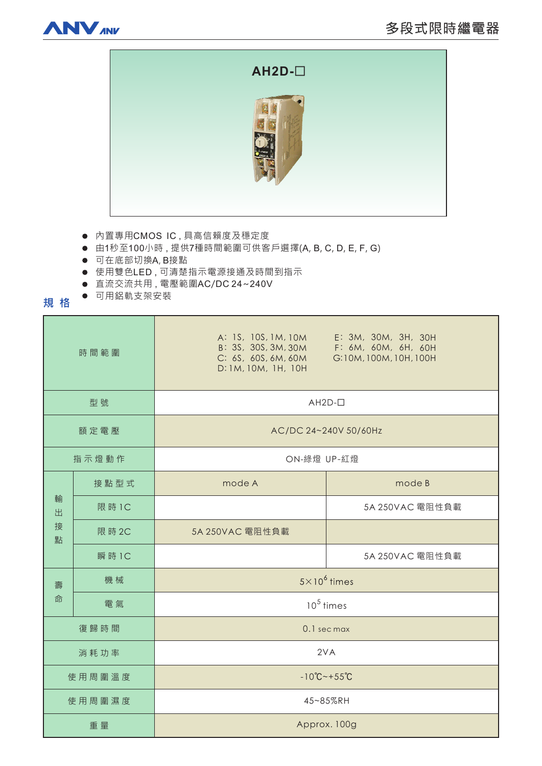



- 内置專用CMOS IC,具高信賴度及穩定度
- 由1秒至100小時,提供7種時間範圍可供客戶選擇(A, B, C, D, E, F, G)
- 可在底部切換A, B接點
- 使用雙色LED,可清楚指示電源接通及時間到指示
- 直流交流共用, 電壓範圍AC/DC 24~240V
- 可用鋁軌支架安裝

**規格** 

| 時間範圍             |        | A: 1S, 10S, 1M, 10M<br>B: 3S, 30S, 3M, 30M<br>C: 6S, 60S, 6M, 60M<br>D: 1M, 10M, 1H, 10H | E: 3M, 30M, 3H, 30H<br>F: 6M, 60M, 6H, 60H<br>G:10M, 100M, 10H, 100H |
|------------------|--------|------------------------------------------------------------------------------------------|----------------------------------------------------------------------|
| 型號               |        | $AH2D-D$                                                                                 |                                                                      |
| 額定電壓             |        | AC/DC 24~240V 50/60Hz                                                                    |                                                                      |
| 指示燈動作            |        | ON-綠燈 UP-紅燈                                                                              |                                                                      |
| 輸<br>出<br>接<br>點 | 接點型式   | mode A                                                                                   | mode B                                                               |
|                  | 限 時 1C |                                                                                          | 5A 250VAC 電阻性負載                                                      |
|                  | 限 時 2C | 5A 250VAC 電阻性負載                                                                          |                                                                      |
|                  | 瞬 時 1C |                                                                                          | 5A 250VAC 電阻性負載                                                      |
| 壽<br>命           | 機械     | $5 \times 10^6$ times                                                                    |                                                                      |
|                  | 電氣     | $10^5$ times                                                                             |                                                                      |
| 復歸時間             |        | 0.1 sec max                                                                              |                                                                      |
| 消耗功率             |        | 2VA                                                                                      |                                                                      |
| 使用周圍溫度           |        | $-10^{\circ}$ C ~ + 55 $^{\circ}$ C                                                      |                                                                      |
| 使用周圍濕度           |        | 45~85%RH                                                                                 |                                                                      |
| 重量               |        | Approx. 100g                                                                             |                                                                      |